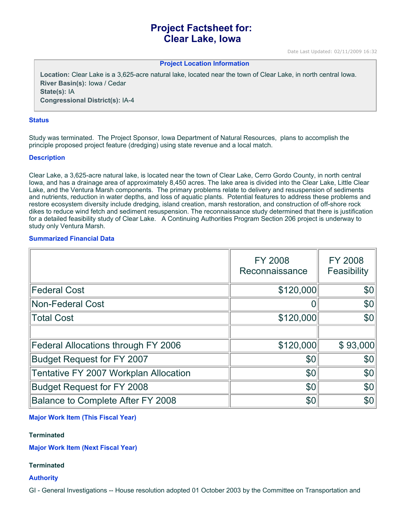# **Project Factsheet for: Clear Lake, Iowa**

Date Last Updated: 02/11/2009 16:32

**Project Location Information** 

**Location:** Clear Lake is a 3,625-acre natural lake, located near the town of Clear Lake, in north central Iowa. **River Basin(s):** Iowa / Cedar **State(s):** IA **Congressional District(s):** IA-4

#### **Status**

Study was terminated. The Project Sponsor, Iowa Department of Natural Resources, plans to accomplish the principle proposed project feature (dredging) using state revenue and a local match.

#### **Description**

Clear Lake, a 3,625-acre natural lake, is located near the town of Clear Lake, Cerro Gordo County, in north central Iowa, and has a drainage area of approximately 8,450 acres. The lake area is divided into the Clear Lake, Little Clear Lake, and the Ventura Marsh components. The primary problems relate to delivery and resuspension of sediments and nutrients, reduction in water depths, and loss of aquatic plants. Potential features to address these problems and restore ecosystem diversity include dredging, island creation, marsh restoration, and construction of off-shore rock dikes to reduce wind fetch and sediment resuspension. The reconnaissance study determined that there is justification for a detailed feasibility study of Clear Lake. A Continuing Authorities Program Section 206 project is underway to study only Ventura Marsh.

### **Summarized Financial Data**

|                                       | <b>FY 2008</b><br>Reconnaissance | <b>FY 2008</b><br>Feasibility |
|---------------------------------------|----------------------------------|-------------------------------|
| <b>Federal Cost</b>                   | \$120,000                        | \$0                           |
| <b>Non-Federal Cost</b>               | 0                                | \$0                           |
| <b>Total Cost</b>                     | \$120,000                        | \$0                           |
|                                       |                                  |                               |
| Federal Allocations through FY 2006   | \$120,000                        | \$93,000                      |
| <b>Budget Request for FY 2007</b>     | \$0                              | \$0                           |
| Tentative FY 2007 Workplan Allocation | \$0                              | \$0                           |
| <b>Budget Request for FY 2008</b>     | \$0                              | \$0                           |
| Balance to Complete After FY 2008     | \$0                              | \$0                           |

### **Major Work Item (This Fiscal Year)**

### **Terminated**

**Major Work Item (Next Fiscal Year)**

### **Terminated**

**Authority**

GI - General Investigations -- House resolution adopted 01 October 2003 by the Committee on Transportation and